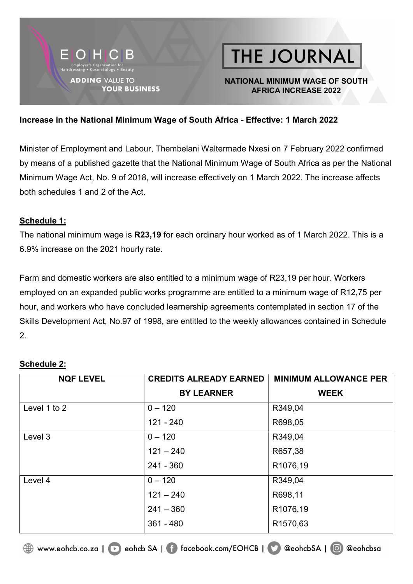

#### NATIONAL MINIMUM WAGE OF SOUTH AFRICA INCREASE 2022

#### Increase in the National Minimum Wage of South Africa - Effective: 1 March 2022

Minister of Employment and Labour, Thembelani Waltermade Nxesi on 7 February 2022 confirmed by means of a published gazette that the National Minimum Wage of South Africa as per the National Minimum Wage Act, No. 9 of 2018, will increase effectively on 1 March 2022. The increase affects both schedules 1 and 2 of the Act.

#### Schedule 1:

The national minimum wage is R23,19 for each ordinary hour worked as of 1 March 2022. This is a 6.9% increase on the 2021 hourly rate.

Farm and domestic workers are also entitled to a minimum wage of R23,19 per hour. Workers employed on an expanded public works programme are entitled to a minimum wage of R12,75 per hour, and workers who have concluded learnership agreements contemplated in section 17 of the Skills Development Act, No.97 of 1998, are entitled to the weekly allowances contained in Schedule 2.

#### Schedule 2:

| <b>NQF LEVEL</b> | <b>CREDITS ALREADY EARNED</b> | <b>MINIMUM ALLOWANCE PER</b> |
|------------------|-------------------------------|------------------------------|
|                  | <b>BY LEARNER</b>             | <b>WEEK</b>                  |
| Level 1 to 2     | $0 - 120$                     | R349,04                      |
|                  | $121 - 240$                   | R698,05                      |
| Level 3          | $0 - 120$                     | R349,04                      |
|                  | $121 - 240$                   | R657,38                      |
|                  | $241 - 360$                   | R1076,19                     |
| Level 4          | $0 - 120$                     | R349,04                      |
|                  | $121 - 240$                   | R698,11                      |
|                  | $241 - 360$                   | R1076,19                     |
|                  | $361 - 480$                   | R <sub>1570,63</sub>         |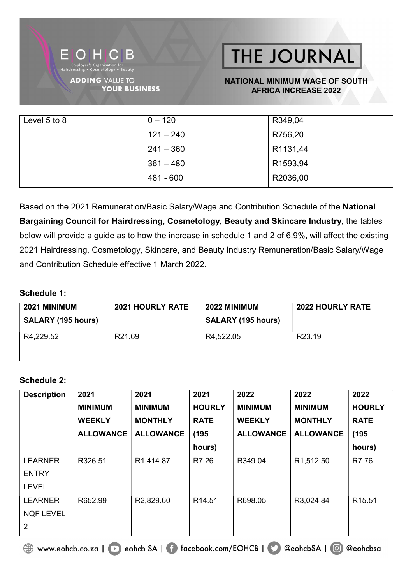

#### NATIONAL MINIMUM WAGE OF SOUTH AFRICA INCREASE 2022

| Level 5 to 8 | $0 - 120$   | R349,04  |
|--------------|-------------|----------|
|              | $121 - 240$ | R756,20  |
|              | $241 - 360$ | R1131,44 |
|              | $361 - 480$ | R1593,94 |
|              | 481 - 600   | R2036,00 |

Based on the 2021 Remuneration/Basic Salary/Wage and Contribution Schedule of the National Bargaining Council for Hairdressing, Cosmetology, Beauty and Skincare Industry, the tables below will provide a guide as to how the increase in schedule 1 and 2 of 6.9%, will affect the existing 2021 Hairdressing, Cosmetology, Skincare, and Beauty Industry Remuneration/Basic Salary/Wage and Contribution Schedule effective 1 March 2022.

#### Schedule 1:

| 2021 MINIMUM<br><b>SALARY (195 hours)</b> | <b>2021 HOURLY RATE</b> | 2022 MINIMUM<br><b>SALARY (195 hours)</b> | <b>2022 HOURLY RATE</b> |
|-------------------------------------------|-------------------------|-------------------------------------------|-------------------------|
| R4,229.52                                 | R21.69                  | R4,522.05                                 | R <sub>23.19</sub>      |

#### Schedule 2:

| <b>Description</b> | 2021             | 2021                   | 2021               | 2022             | 2022                   | 2022               |
|--------------------|------------------|------------------------|--------------------|------------------|------------------------|--------------------|
|                    | <b>MINIMUM</b>   | <b>MINIMUM</b>         | <b>HOURLY</b>      | <b>MINIMUM</b>   | <b>MINIMUM</b>         | <b>HOURLY</b>      |
|                    | <b>WEEKLY</b>    | <b>MONTHLY</b>         | <b>RATE</b>        | <b>WEEKLY</b>    | <b>MONTHLY</b>         | <b>RATE</b>        |
|                    | <b>ALLOWANCE</b> | <b>ALLOWANCE</b>       | (195)              | <b>ALLOWANCE</b> | <b>ALLOWANCE</b>       | (195)              |
|                    |                  |                        | hours)             |                  |                        | hours)             |
| <b>LEARNER</b>     | R326.51          | R <sub>1</sub> ,414.87 | R7.26              | R349.04          | R <sub>1</sub> ,512.50 | R7.76              |
| <b>ENTRY</b>       |                  |                        |                    |                  |                        |                    |
| <b>LEVEL</b>       |                  |                        |                    |                  |                        |                    |
| <b>LEARNER</b>     | R652.99          | R <sub>2</sub> ,829.60 | R <sub>14.51</sub> | R698.05          | R3,024.84              | R <sub>15.51</sub> |
| <b>NQF LEVEL</b>   |                  |                        |                    |                  |                        |                    |
| $\overline{2}$     |                  |                        |                    |                  |                        |                    |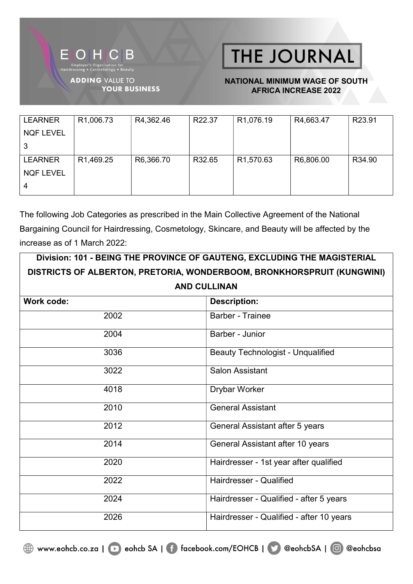

#### NATIONAL MINIMUM WAGE OF SOUTH AFRICA INCREASE 2022

| <b>LEARNER</b>   | R <sub>1</sub> ,006.73 | R4,362.46 | R22.37 | R <sub>1</sub> ,076.19 | R4,663.47 | R23.91 |
|------------------|------------------------|-----------|--------|------------------------|-----------|--------|
| <b>NQF LEVEL</b> |                        |           |        |                        |           |        |
| 3                |                        |           |        |                        |           |        |
| <b>LEARNER</b>   | R <sub>1</sub> ,469.25 | R6,366.70 | R32.65 | R <sub>1</sub> ,570.63 | R6,806.00 | R34.90 |
| <b>NQF LEVEL</b> |                        |           |        |                        |           |        |
| 4                |                        |           |        |                        |           |        |

The following Job Categories as prescribed in the Main Collective Agreement of the National Bargaining Council for Hairdressing, Cosmetology, Skincare, and Beauty will be affected by the increase as of 1 March 2022:

| Division: 101 - BEING THE PROVINCE OF GAUTENG, EXCLUDING THE MAGISTERIAL |                                                                        |  |
|--------------------------------------------------------------------------|------------------------------------------------------------------------|--|
|                                                                          | DISTRICTS OF ALBERTON, PRETORIA, WONDERBOOM, BRONKHORSPRUIT (KUNGWINI) |  |
|                                                                          | <b>AND CULLINAN</b>                                                    |  |
| <b>Work code:</b>                                                        | <b>Description:</b>                                                    |  |
| 2002                                                                     | <b>Barber - Trainee</b>                                                |  |
| 2004                                                                     | Barber - Junior                                                        |  |
| 3036                                                                     | <b>Beauty Technologist - Unqualified</b>                               |  |
| 3022                                                                     | <b>Salon Assistant</b>                                                 |  |
| 4018                                                                     | Drybar Worker                                                          |  |
| 2010                                                                     | <b>General Assistant</b>                                               |  |
| 2012                                                                     | General Assistant after 5 years                                        |  |
| 2014                                                                     | General Assistant after 10 years                                       |  |
| 2020                                                                     | Hairdresser - 1st year after qualified                                 |  |
| 2022                                                                     | <b>Hairdresser - Qualified</b>                                         |  |
| 2024                                                                     | Hairdresser - Qualified - after 5 years                                |  |
| 2026                                                                     | Hairdresser - Qualified - after 10 years                               |  |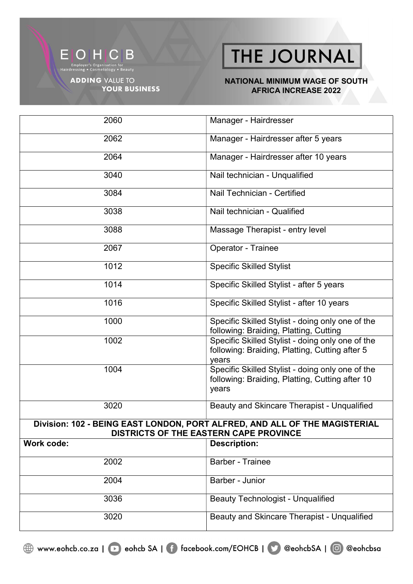

**YOUR BUSINESS** 

THE JOURNAL

#### NATIONAL MINIMUM WAGE OF SOUTH AFRICA INCREASE 2022

| 2060              | Manager - Hairdresser                                                                                                |
|-------------------|----------------------------------------------------------------------------------------------------------------------|
| 2062              | Manager - Hairdresser after 5 years                                                                                  |
| 2064              | Manager - Hairdresser after 10 years                                                                                 |
| 3040              | Nail technician - Unqualified                                                                                        |
| 3084              | Nail Technician - Certified                                                                                          |
| 3038              | Nail technician - Qualified                                                                                          |
| 3088              | Massage Therapist - entry level                                                                                      |
| 2067              | Operator - Trainee                                                                                                   |
| 1012              | <b>Specific Skilled Stylist</b>                                                                                      |
| 1014              | Specific Skilled Stylist - after 5 years                                                                             |
| 1016              | Specific Skilled Stylist - after 10 years                                                                            |
| 1000              | Specific Skilled Stylist - doing only one of the<br>following: Braiding, Platting, Cutting                           |
| 1002              | Specific Skilled Stylist - doing only one of the<br>following: Braiding, Platting, Cutting after 5<br>years          |
| 1004              | Specific Skilled Stylist - doing only one of the<br>following: Braiding, Platting, Cutting after 10<br>years         |
| 3020              | Beauty and Skincare Therapist - Unqualified                                                                          |
|                   | Division: 102 - BEING EAST LONDON, PORT ALFRED, AND ALL OF THE MAGISTERIAL<br>DISTRICTS OF THE EASTERN CAPE PROVINCE |
| <b>Work code:</b> | <b>Description:</b>                                                                                                  |
| 2002              | <b>Barber - Trainee</b>                                                                                              |
| 2004              | Barber - Junior                                                                                                      |
| 3036              | <b>Beauty Technologist - Unqualified</b>                                                                             |
| 3020              | Beauty and Skincare Therapist - Unqualified                                                                          |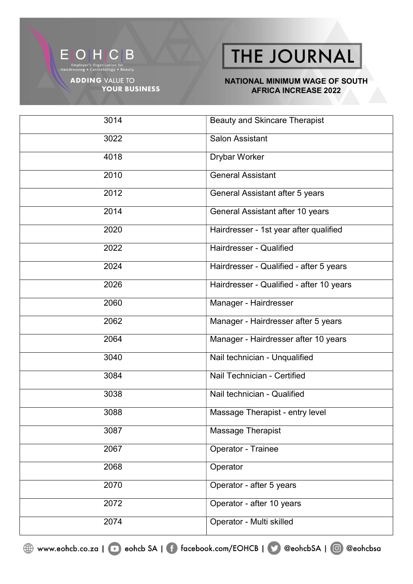

**YOUR BUSINESS** 

THE JOURNAL

#### NATIONAL MINIMUM WAGE OF SOUTH **AFRICA INCREASE 2022**

| 3014 | <b>Beauty and Skincare Therapist</b>     |
|------|------------------------------------------|
| 3022 | <b>Salon Assistant</b>                   |
| 4018 | <b>Drybar Worker</b>                     |
| 2010 | <b>General Assistant</b>                 |
| 2012 | General Assistant after 5 years          |
| 2014 | General Assistant after 10 years         |
| 2020 | Hairdresser - 1st year after qualified   |
| 2022 | Hairdresser - Qualified                  |
| 2024 | Hairdresser - Qualified - after 5 years  |
| 2026 | Hairdresser - Qualified - after 10 years |
| 2060 | Manager - Hairdresser                    |
| 2062 | Manager - Hairdresser after 5 years      |
| 2064 | Manager - Hairdresser after 10 years     |
| 3040 | Nail technician - Unqualified            |
| 3084 | Nail Technician - Certified              |
| 3038 | Nail technician - Qualified              |
| 3088 | Massage Therapist - entry level          |
| 3087 | Massage Therapist                        |
| 2067 | Operator - Trainee                       |
| 2068 | Operator                                 |
| 2070 | Operator - after 5 years                 |
| 2072 | Operator - after 10 years                |
| 2074 | Operator - Multi skilled                 |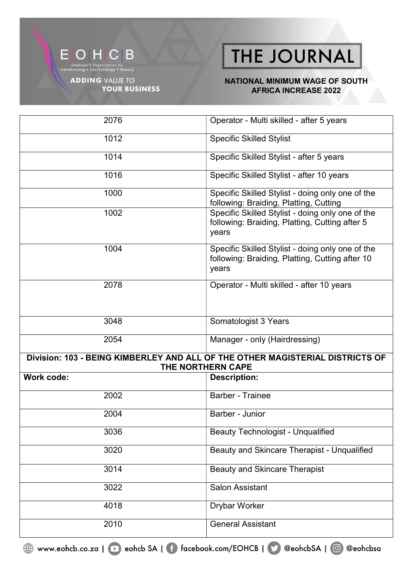

**YOUR BUSINESS** 

THE JOURNAL

#### NATIONAL MINIMUM WAGE OF SOUTH AFRICA INCREASE 2022

| 2076       | Operator - Multi skilled - after 5 years                                                                     |
|------------|--------------------------------------------------------------------------------------------------------------|
| 1012       | Specific Skilled Stylist                                                                                     |
| 1014       | Specific Skilled Stylist - after 5 years                                                                     |
| 1016       | Specific Skilled Stylist - after 10 years                                                                    |
| 1000       | Specific Skilled Stylist - doing only one of the<br>following: Braiding, Platting, Cutting                   |
| 1002       | Specific Skilled Stylist - doing only one of the<br>following: Braiding, Platting, Cutting after 5<br>years  |
| 1004       | Specific Skilled Stylist - doing only one of the<br>following: Braiding, Platting, Cutting after 10<br>years |
| 2078       | Operator - Multi skilled - after 10 years                                                                    |
| 3048       | Somatologist 3 Years                                                                                         |
| 2054       | Manager - only (Hairdressing)                                                                                |
|            | Division: 103 - BEING KIMBERLEY AND ALL OF THE OTHER MAGISTERIAL DISTRICTS OF<br>THE NORTHERN CAPE           |
| Work code: | <b>Description:</b>                                                                                          |
| 2002       | <b>Barber - Trainee</b>                                                                                      |
| 2004       | Barber - Junior                                                                                              |
| 3036       | <b>Beauty Technologist - Unqualified</b>                                                                     |
| 3020       | Beauty and Skincare Therapist - Unqualified                                                                  |
| 3014       | <b>Beauty and Skincare Therapist</b>                                                                         |
| 3022       | Salon Assistant                                                                                              |
| 4018       | <b>Drybar Worker</b>                                                                                         |
| 2010       | <b>General Assistant</b>                                                                                     |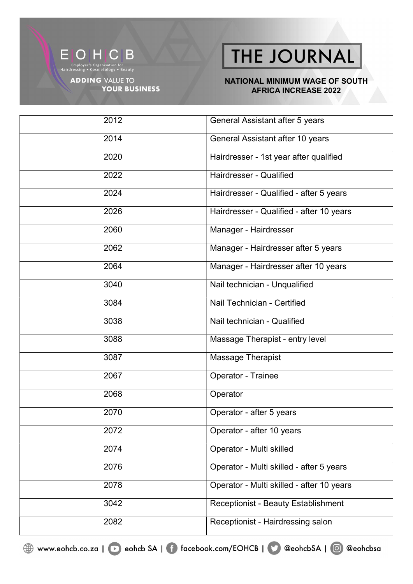

Employer's Organisation for<br>Hairdressing • Cosmetology • Beauty

**ADDING VALUE TO YOUR BUSINESS** 

# THE JOURNAL

#### NATIONAL MINIMUM WAGE OF SOUTH **AFRICA INCREASE 2022**

| 2012 | General Assistant after 5 years            |
|------|--------------------------------------------|
| 2014 | General Assistant after 10 years           |
| 2020 | Hairdresser - 1st year after qualified     |
| 2022 | Hairdresser - Qualified                    |
| 2024 | Hairdresser - Qualified - after 5 years    |
| 2026 | Hairdresser - Qualified - after 10 years   |
| 2060 | Manager - Hairdresser                      |
| 2062 | Manager - Hairdresser after 5 years        |
| 2064 | Manager - Hairdresser after 10 years       |
| 3040 | Nail technician - Unqualified              |
| 3084 | Nail Technician - Certified                |
| 3038 | Nail technician - Qualified                |
| 3088 | Massage Therapist - entry level            |
| 3087 | Massage Therapist                          |
| 2067 | Operator - Trainee                         |
| 2068 | Operator                                   |
| 2070 | Operator - after 5 years                   |
| 2072 | Operator - after 10 years                  |
| 2074 | Operator - Multi skilled                   |
| 2076 | Operator - Multi skilled - after 5 years   |
| 2078 | Operator - Multi skilled - after 10 years  |
| 3042 | <b>Receptionist - Beauty Establishment</b> |
| 2082 | Receptionist - Hairdressing salon          |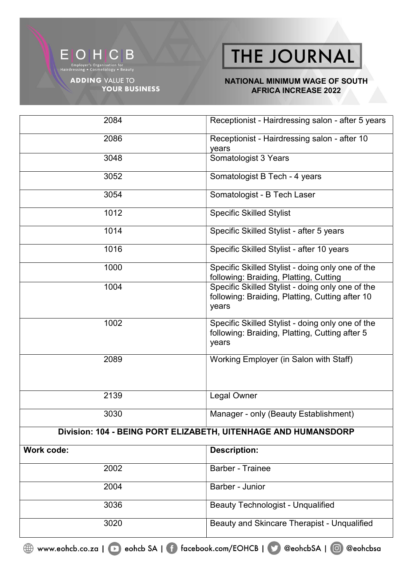

**YOUR BUSINESS** 

THE JOURNAL

#### NATIONAL MINIMUM WAGE OF SOUTH AFRICA INCREASE 2022

| 2084              | Receptionist - Hairdressing salon - after 5 years                                                            |
|-------------------|--------------------------------------------------------------------------------------------------------------|
| 2086              | Receptionist - Hairdressing salon - after 10<br>years                                                        |
| 3048              | Somatologist 3 Years                                                                                         |
| 3052              | Somatologist B Tech - 4 years                                                                                |
| 3054              | Somatologist - B Tech Laser                                                                                  |
| 1012              | <b>Specific Skilled Stylist</b>                                                                              |
| 1014              | Specific Skilled Stylist - after 5 years                                                                     |
| 1016              | Specific Skilled Stylist - after 10 years                                                                    |
| 1000              | Specific Skilled Stylist - doing only one of the<br>following: Braiding, Platting, Cutting                   |
| 1004              | Specific Skilled Stylist - doing only one of the<br>following: Braiding, Platting, Cutting after 10<br>years |
| 1002              | Specific Skilled Stylist - doing only one of the<br>following: Braiding, Platting, Cutting after 5<br>years  |
| 2089              | Working Employer (in Salon with Staff)                                                                       |
| 2139              | Legal Owner                                                                                                  |
| 3030              | Manager - only (Beauty Establishment)                                                                        |
|                   | Division: 104 - BEING PORT ELIZABETH, UITENHAGE AND HUMANSDORP                                               |
| <b>Work code:</b> | <b>Description:</b>                                                                                          |
| 2002              | <b>Barber - Trainee</b>                                                                                      |
| 2004              | Barber - Junior                                                                                              |
| 3036              | <b>Beauty Technologist - Unqualified</b>                                                                     |
| 3020              | Beauty and Skincare Therapist - Unqualified                                                                  |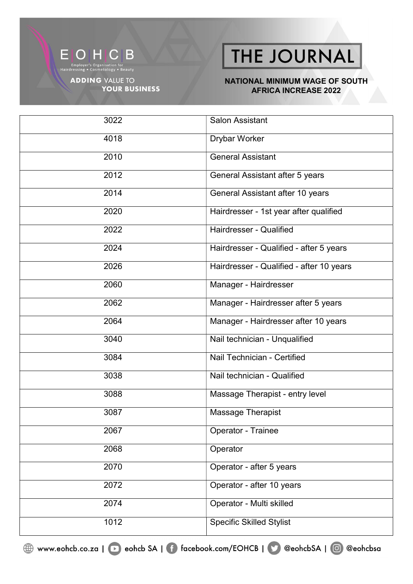

**YOUR BUSINESS** 

THE JOURNAL

#### NATIONAL MINIMUM WAGE OF SOUTH AFRICA INCREASE 2022

| 3022              | <b>Salon Assistant</b>                   |
|-------------------|------------------------------------------|
| 4018              | <b>Drybar Worker</b>                     |
| 2010              | <b>General Assistant</b>                 |
| 2012              | General Assistant after 5 years          |
| 2014              | General Assistant after 10 years         |
| 2020              | Hairdresser - 1st year after qualified   |
| 2022              | Hairdresser - Qualified                  |
| 2024              | Hairdresser - Qualified - after 5 years  |
| 2026              | Hairdresser - Qualified - after 10 years |
| 2060              | Manager - Hairdresser                    |
| 2062              | Manager - Hairdresser after 5 years      |
| 2064              | Manager - Hairdresser after 10 years     |
| 3040              | Nail technician - Unqualified            |
| 3084              | Nail Technician - Certified              |
| 3038              | Nail technician - Qualified              |
| 3088              | Massage Therapist - entry level          |
| 3087              | Massage Therapist                        |
| 2067              | Operator - Trainee                       |
| 2068              | Operator                                 |
| 2070              | Operator - after 5 years                 |
| $\overline{2072}$ | Operator - after 10 years                |
| 2074              | Operator - Multi skilled                 |
| 1012              | <b>Specific Skilled Stylist</b>          |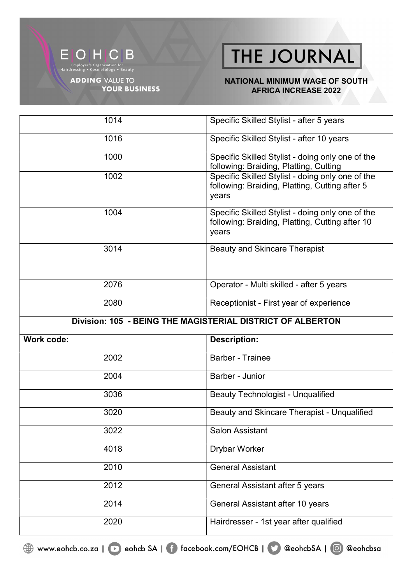

**YOUR BUSINESS** 

THE JOURNAL

#### NATIONAL MINIMUM WAGE OF SOUTH AFRICA INCREASE 2022

| 1014                                                       | Specific Skilled Stylist - after 5 years                                                                     |
|------------------------------------------------------------|--------------------------------------------------------------------------------------------------------------|
| 1016                                                       | Specific Skilled Stylist - after 10 years                                                                    |
| 1000                                                       | Specific Skilled Stylist - doing only one of the<br>following: Braiding, Platting, Cutting                   |
| 1002                                                       | Specific Skilled Stylist - doing only one of the<br>following: Braiding, Platting, Cutting after 5<br>years  |
| 1004                                                       | Specific Skilled Stylist - doing only one of the<br>following: Braiding, Platting, Cutting after 10<br>years |
| 3014                                                       | <b>Beauty and Skincare Therapist</b>                                                                         |
| 2076                                                       | Operator - Multi skilled - after 5 years                                                                     |
| 2080                                                       | Receptionist - First year of experience                                                                      |
| Division: 105 - BEING THE MAGISTERIAL DISTRICT OF ALBERTON |                                                                                                              |
|                                                            |                                                                                                              |
| <b>Work code:</b>                                          | <b>Description:</b>                                                                                          |
| 2002                                                       | <b>Barber - Trainee</b>                                                                                      |
| 2004                                                       | Barber - Junior                                                                                              |
| 3036                                                       | <b>Beauty Technologist - Unqualified</b>                                                                     |
| 3020                                                       | Beauty and Skincare Therapist - Unqualified                                                                  |
| 3022                                                       | <b>Salon Assistant</b>                                                                                       |
| 4018                                                       | Drybar Worker                                                                                                |
| 2010                                                       | <b>General Assistant</b>                                                                                     |
| 2012                                                       | General Assistant after 5 years                                                                              |
| 2014                                                       | General Assistant after 10 years                                                                             |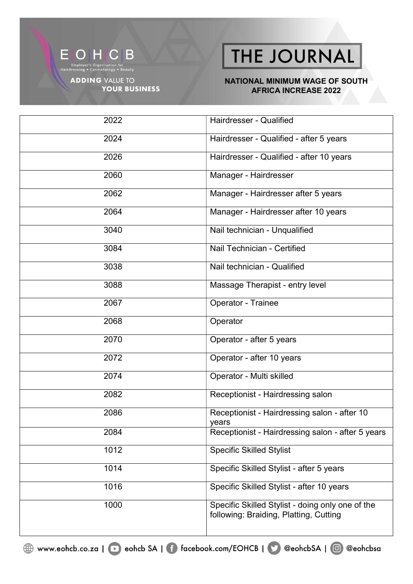

Employer's Organisation for<br>Hairdressing • Cosmetology • Beauty

**ADDING VALUE TO YOUR BUSINESS** 

# THE JOURNAL

#### NATIONAL MINIMUM WAGE OF SOUTH **AFRICA INCREASE 2022**

| 2022 | Hairdresser - Qualified                                                                    |
|------|--------------------------------------------------------------------------------------------|
| 2024 | Hairdresser - Qualified - after 5 years                                                    |
| 2026 | Hairdresser - Qualified - after 10 years                                                   |
| 2060 | Manager - Hairdresser                                                                      |
| 2062 | Manager - Hairdresser after 5 years                                                        |
| 2064 | Manager - Hairdresser after 10 years                                                       |
| 3040 | Nail technician - Unqualified                                                              |
| 3084 | Nail Technician - Certified                                                                |
| 3038 | Nail technician - Qualified                                                                |
| 3088 | Massage Therapist - entry level                                                            |
| 2067 | Operator - Trainee                                                                         |
| 2068 | Operator                                                                                   |
| 2070 | Operator - after 5 years                                                                   |
| 2072 | Operator - after 10 years                                                                  |
| 2074 | Operator - Multi skilled                                                                   |
| 2082 | Receptionist - Hairdressing salon                                                          |
| 2086 | Receptionist - Hairdressing salon - after 10<br>years                                      |
| 2084 | Receptionist - Hairdressing salon - after 5 years                                          |
| 1012 | <b>Specific Skilled Stylist</b>                                                            |
| 1014 | Specific Skilled Stylist - after 5 years                                                   |
| 1016 | Specific Skilled Stylist - after 10 years                                                  |
| 1000 | Specific Skilled Stylist - doing only one of the<br>following: Braiding, Platting, Cutting |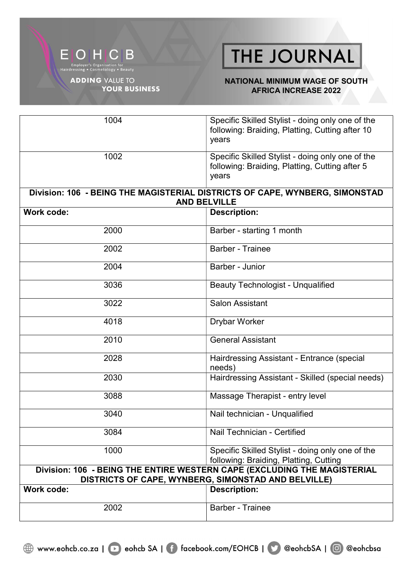

#### NATIONAL MINIMUM WAGE OF SOUTH AFRICA INCREASE 2022

| 1004              | Specific Skilled Stylist - doing only one of the<br>following: Braiding, Platting, Cutting after 10<br>years                    |
|-------------------|---------------------------------------------------------------------------------------------------------------------------------|
| 1002              | Specific Skilled Stylist - doing only one of the<br>following: Braiding, Platting, Cutting after 5<br>years                     |
|                   | Division: 106 - BEING THE MAGISTERIAL DISTRICTS OF CAPE, WYNBERG, SIMONSTAD<br><b>AND BELVILLE</b>                              |
| Work code:        | <b>Description:</b>                                                                                                             |
| 2000              | Barber - starting 1 month                                                                                                       |
| 2002              | <b>Barber - Trainee</b>                                                                                                         |
| 2004              | Barber - Junior                                                                                                                 |
| 3036              | <b>Beauty Technologist - Unqualified</b>                                                                                        |
| 3022              | Salon Assistant                                                                                                                 |
| 4018              | <b>Drybar Worker</b>                                                                                                            |
| 2010              | <b>General Assistant</b>                                                                                                        |
| 2028              | Hairdressing Assistant - Entrance (special<br>needs)                                                                            |
| 2030              | Hairdressing Assistant - Skilled (special needs)                                                                                |
| 3088              | Massage Therapist - entry level                                                                                                 |
| 3040              | Nail technician - Unqualified                                                                                                   |
| 3084              | Nail Technician - Certified                                                                                                     |
| 1000              | Specific Skilled Stylist - doing only one of the<br>following: Braiding, Platting, Cutting                                      |
|                   | Division: 106 - BEING THE ENTIRE WESTERN CAPE (EXCLUDING THE MAGISTERIAL<br>DISTRICTS OF CAPE, WYNBERG, SIMONSTAD AND BELVILLE) |
| <b>Work code:</b> | <b>Description:</b>                                                                                                             |
| 2002              | <b>Barber - Trainee</b>                                                                                                         |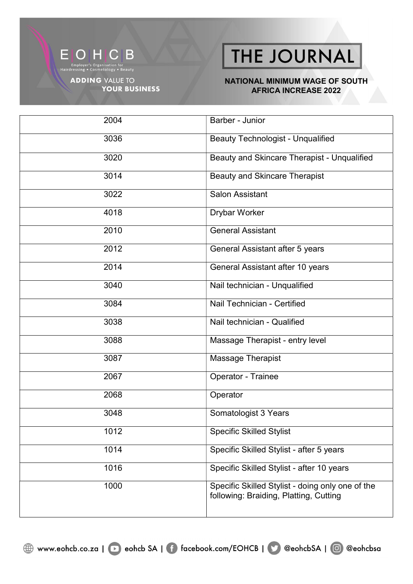

**YOUR BUSINESS** 

THE JOURNAL

#### NATIONAL MINIMUM WAGE OF SOUTH AFRICA INCREASE 2022

2004 Barber - Junior 3036 Beauty Technologist - Unqualified 3020 Beauty and Skincare Therapist - Unqualified 3014 Beauty and Skincare Therapist 3022 Salon Assistant 4018 Drybar Worker 2010 General Assistant 2012 General Assistant after 5 years 2014 General Assistant after 10 years 3040 Nail technician - Unqualified 3084 Nail Technician - Certified 3038 Nail technician - Qualified 3088 Massage Therapist - entry level 3087 Massage Therapist 2067 Operator - Trainee 2068 Operator 3048 Somatologist 3 Years 1012 Specific Skilled Stylist 1014 Specific Skilled Stylist - after 5 years 1016 Specific Skilled Stylist - after 10 years 1000 Specific Skilled Stylist - doing only one of the following: Braiding, Platting, Cutting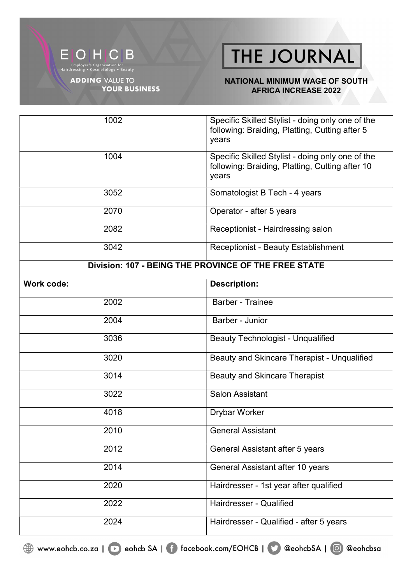

**YOUR BUSINESS** 

### THE JOURNAL

#### NATIONAL MINIMUM WAGE OF SOUTH AFRICA INCREASE 2022

| 1002                                                 | Specific Skilled Stylist - doing only one of the<br>following: Braiding, Platting, Cutting after 5<br>years  |
|------------------------------------------------------|--------------------------------------------------------------------------------------------------------------|
| 1004                                                 | Specific Skilled Stylist - doing only one of the<br>following: Braiding, Platting, Cutting after 10<br>years |
| 3052                                                 | Somatologist B Tech - 4 years                                                                                |
| 2070                                                 | Operator - after 5 years                                                                                     |
| 2082                                                 | Receptionist - Hairdressing salon                                                                            |
| 3042                                                 | <b>Receptionist - Beauty Establishment</b>                                                                   |
| Division: 107 - BEING THE PROVINCE OF THE FREE STATE |                                                                                                              |
| <b>Work code:</b>                                    | <b>Description:</b>                                                                                          |
| 2002                                                 | <b>Barber - Trainee</b>                                                                                      |
| 2004                                                 | Barber - Junior                                                                                              |
| 3036                                                 | <b>Beauty Technologist - Unqualified</b>                                                                     |
| 3020                                                 | Beauty and Skincare Therapist - Unqualified                                                                  |
| 3014                                                 | <b>Beauty and Skincare Therapist</b>                                                                         |
| 3022                                                 | <b>Salon Assistant</b>                                                                                       |
| 4018                                                 | <b>Drybar Worker</b>                                                                                         |
| 2010                                                 | <b>General Assistant</b>                                                                                     |
| 2012                                                 | General Assistant after 5 years                                                                              |
| 2014                                                 | General Assistant after 10 years                                                                             |
| 2020                                                 | Hairdresser - 1st year after qualified                                                                       |
| 2022                                                 | Hairdresser - Qualified                                                                                      |
| 2024                                                 | Hairdresser - Qualified - after 5 years                                                                      |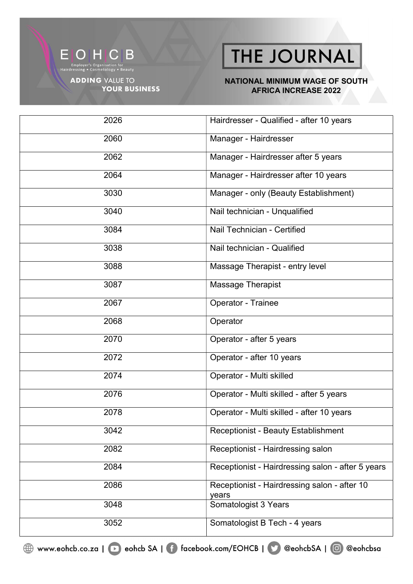

Employer's Organisation for<br>Hairdressing • Cosmetology • Beauty

**ADDING VALUE TO YOUR BUSINESS** 

# THE JOURNAL

#### NATIONAL MINIMUM WAGE OF SOUTH **AFRICA INCREASE 2022**

| 2026 | Hairdresser - Qualified - after 10 years              |
|------|-------------------------------------------------------|
| 2060 | Manager - Hairdresser                                 |
| 2062 | Manager - Hairdresser after 5 years                   |
| 2064 | Manager - Hairdresser after 10 years                  |
| 3030 | Manager - only (Beauty Establishment)                 |
| 3040 | Nail technician - Unqualified                         |
| 3084 | Nail Technician - Certified                           |
| 3038 | Nail technician - Qualified                           |
| 3088 | Massage Therapist - entry level                       |
| 3087 | Massage Therapist                                     |
| 2067 | Operator - Trainee                                    |
| 2068 | Operator                                              |
| 2070 | Operator - after 5 years                              |
| 2072 | Operator - after 10 years                             |
| 2074 | Operator - Multi skilled                              |
| 2076 | Operator - Multi skilled - after 5 years              |
| 2078 | Operator - Multi skilled - after 10 years             |
| 3042 | <b>Receptionist - Beauty Establishment</b>            |
| 2082 | Receptionist - Hairdressing salon                     |
| 2084 | Receptionist - Hairdressing salon - after 5 years     |
| 2086 | Receptionist - Hairdressing salon - after 10<br>years |
| 3048 | Somatologist 3 Years                                  |
| 3052 | Somatologist B Tech - 4 years                         |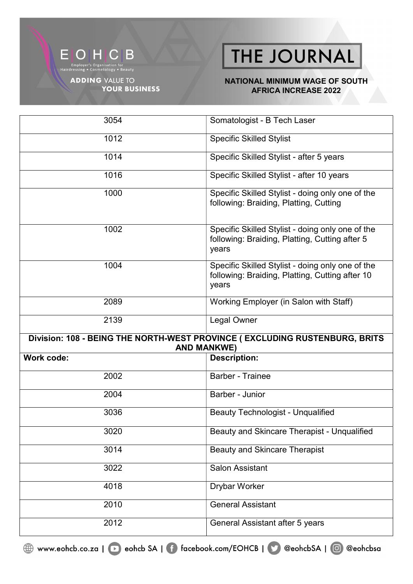

**YOUR BUSINESS** 

THE JOURNAL

#### NATIONAL MINIMUM WAGE OF SOUTH **AFRICA INCREASE 2022**

| 3054              | Somatologist - B Tech Laser                                                                                  |
|-------------------|--------------------------------------------------------------------------------------------------------------|
| 1012              | <b>Specific Skilled Stylist</b>                                                                              |
| 1014              | Specific Skilled Stylist - after 5 years                                                                     |
| 1016              | Specific Skilled Stylist - after 10 years                                                                    |
| 1000              | Specific Skilled Stylist - doing only one of the<br>following: Braiding, Platting, Cutting                   |
| 1002              | Specific Skilled Stylist - doing only one of the<br>following: Braiding, Platting, Cutting after 5<br>years  |
| 1004              | Specific Skilled Stylist - doing only one of the<br>following: Braiding, Platting, Cutting after 10<br>years |
| 2089              | Working Employer (in Salon with Staff)                                                                       |
| 2139              | <b>Legal Owner</b>                                                                                           |
|                   | Division: 108 - BEING THE NORTH-WEST PROVINCE (EXCLUDING RUSTENBURG, BRITS<br><b>AND MANKWE)</b>             |
| <b>Work code:</b> | <b>Description:</b>                                                                                          |
| 2002              | <b>Barber - Trainee</b>                                                                                      |
| 2004              | Barber - Junior                                                                                              |
| 3036              |                                                                                                              |
|                   | <b>Beauty Technologist - Unqualified</b>                                                                     |
| 3020              | Beauty and Skincare Therapist - Unqualified                                                                  |
| 3014              | <b>Beauty and Skincare Therapist</b>                                                                         |
| 3022              | <b>Salon Assistant</b>                                                                                       |
| 4018              | Drybar Worker                                                                                                |
| 2010              | <b>General Assistant</b>                                                                                     |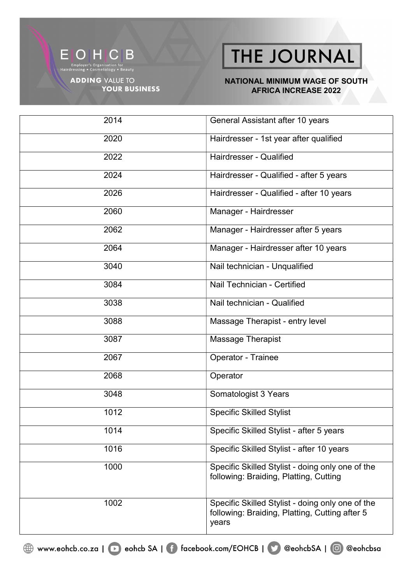

**ADDING VALUE TO YOUR BUSINESS** 

# THE JOURNAL

#### NATIONAL MINIMUM WAGE OF SOUTH **AFRICA INCREASE 2022**

| 2014 | General Assistant after 10 years                                                                            |
|------|-------------------------------------------------------------------------------------------------------------|
| 2020 | Hairdresser - 1st year after qualified                                                                      |
| 2022 | Hairdresser - Qualified                                                                                     |
| 2024 | Hairdresser - Qualified - after 5 years                                                                     |
| 2026 | Hairdresser - Qualified - after 10 years                                                                    |
| 2060 | Manager - Hairdresser                                                                                       |
| 2062 | Manager - Hairdresser after 5 years                                                                         |
| 2064 | Manager - Hairdresser after 10 years                                                                        |
| 3040 | Nail technician - Unqualified                                                                               |
| 3084 | Nail Technician - Certified                                                                                 |
| 3038 | Nail technician - Qualified                                                                                 |
| 3088 | Massage Therapist - entry level                                                                             |
| 3087 | Massage Therapist                                                                                           |
| 2067 | Operator - Trainee                                                                                          |
| 2068 | Operator                                                                                                    |
| 3048 | Somatologist 3 Years                                                                                        |
| 1012 | <b>Specific Skilled Stylist</b>                                                                             |
| 1014 | Specific Skilled Stylist - after 5 years                                                                    |
| 1016 | Specific Skilled Stylist - after 10 years                                                                   |
| 1000 | Specific Skilled Stylist - doing only one of the<br>following: Braiding, Platting, Cutting                  |
| 1002 | Specific Skilled Stylist - doing only one of the<br>following: Braiding, Platting, Cutting after 5<br>years |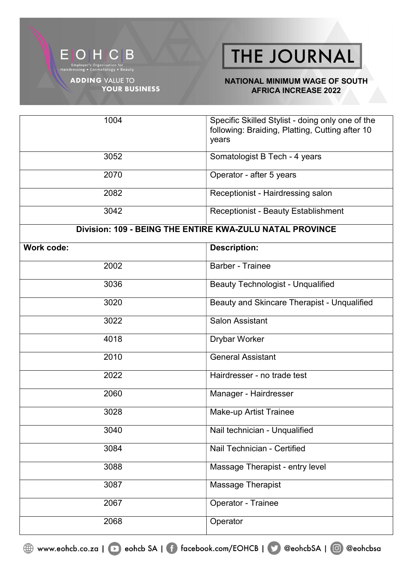

**YOUR BUSINESS** 

### THE JOURNAL

#### NATIONAL MINIMUM WAGE OF SOUTH **AFRICA INCREASE 2022**

| 1004                                                     | Specific Skilled Stylist - doing only one of the<br>following: Braiding, Platting, Cutting after 10<br>years |
|----------------------------------------------------------|--------------------------------------------------------------------------------------------------------------|
| 3052                                                     | Somatologist B Tech - 4 years                                                                                |
| 2070                                                     | Operator - after 5 years                                                                                     |
| 2082                                                     | Receptionist - Hairdressing salon                                                                            |
| 3042                                                     | <b>Receptionist - Beauty Establishment</b>                                                                   |
| Division: 109 - BEING THE ENTIRE KWA-ZULU NATAL PROVINCE |                                                                                                              |
| Work code:                                               | <b>Description:</b>                                                                                          |
| 2002                                                     | <b>Barber - Trainee</b>                                                                                      |
| 3036                                                     | <b>Beauty Technologist - Unqualified</b>                                                                     |
| 3020                                                     | Beauty and Skincare Therapist - Unqualified                                                                  |
| 3022                                                     | <b>Salon Assistant</b>                                                                                       |
| 4018                                                     | Drybar Worker                                                                                                |
| 2010                                                     | <b>General Assistant</b>                                                                                     |
| 2022                                                     | Hairdresser - no trade test                                                                                  |
| 2060                                                     | Manager - Hairdresser                                                                                        |
| 3028                                                     | <b>Make-up Artist Trainee</b>                                                                                |
| 3040                                                     | Nail technician - Unqualified                                                                                |
| 3084                                                     | Nail Technician - Certified                                                                                  |
| 3088                                                     | Massage Therapist - entry level                                                                              |
| 3087                                                     | Massage Therapist                                                                                            |
| 2067                                                     | Operator - Trainee                                                                                           |
| 2068                                                     | Operator                                                                                                     |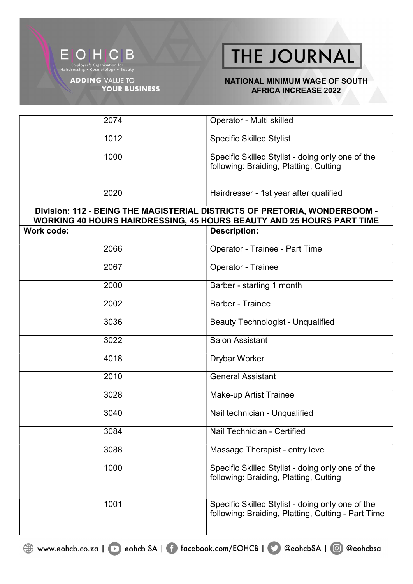

#### NATIONAL MINIMUM WAGE OF SOUTH AFRICA INCREASE 2022

| 2074       | Operator - Multi skilled                                                                                                                           |
|------------|----------------------------------------------------------------------------------------------------------------------------------------------------|
| 1012       | <b>Specific Skilled Stylist</b>                                                                                                                    |
| 1000       | Specific Skilled Stylist - doing only one of the<br>following: Braiding, Platting, Cutting                                                         |
| 2020       | Hairdresser - 1st year after qualified                                                                                                             |
|            | Division: 112 - BEING THE MAGISTERIAL DISTRICTS OF PRETORIA, WONDERBOOM -<br>WORKING 40 HOURS HAIRDRESSING, 45 HOURS BEAUTY AND 25 HOURS PART TIME |
| Work code: | <b>Description:</b>                                                                                                                                |
| 2066       | Operator - Trainee - Part Time                                                                                                                     |
| 2067       | Operator - Trainee                                                                                                                                 |
| 2000       | Barber - starting 1 month                                                                                                                          |
| 2002       | <b>Barber - Trainee</b>                                                                                                                            |
| 3036       | <b>Beauty Technologist - Unqualified</b>                                                                                                           |
| 3022       | <b>Salon Assistant</b>                                                                                                                             |
| 4018       | <b>Drybar Worker</b>                                                                                                                               |
| 2010       | <b>General Assistant</b>                                                                                                                           |
| 3028       | <b>Make-up Artist Trainee</b>                                                                                                                      |
| 3040       | Nail technician - Unqualified                                                                                                                      |
| 3084       | Nail Technician - Certified                                                                                                                        |
| 3088       | Massage Therapist - entry level                                                                                                                    |
| 1000       | Specific Skilled Stylist - doing only one of the<br>following: Braiding, Platting, Cutting                                                         |
| 1001       | Specific Skilled Stylist - doing only one of the<br>following: Braiding, Platting, Cutting - Part Time                                             |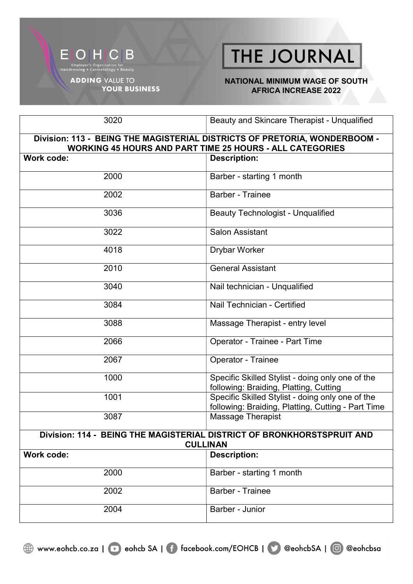#### NATIONAL MINIMUM WAGE OF SOUTH AFRICA INCREASE 2022

| 3020                                                                                                                                         | Beauty and Skincare Therapist - Unqualified                                                            |  |
|----------------------------------------------------------------------------------------------------------------------------------------------|--------------------------------------------------------------------------------------------------------|--|
| Division: 113 - BEING THE MAGISTERIAL DISTRICTS OF PRETORIA, WONDERBOOM -<br><b>WORKING 45 HOURS AND PART TIME 25 HOURS - ALL CATEGORIES</b> |                                                                                                        |  |
| Work code:                                                                                                                                   | <b>Description:</b>                                                                                    |  |
| 2000                                                                                                                                         | Barber - starting 1 month                                                                              |  |
| 2002                                                                                                                                         | <b>Barber - Trainee</b>                                                                                |  |
| 3036                                                                                                                                         | <b>Beauty Technologist - Unqualified</b>                                                               |  |
| 3022                                                                                                                                         | <b>Salon Assistant</b>                                                                                 |  |
| 4018                                                                                                                                         | <b>Drybar Worker</b>                                                                                   |  |
| 2010                                                                                                                                         | <b>General Assistant</b>                                                                               |  |
| 3040                                                                                                                                         | Nail technician - Unqualified                                                                          |  |
| 3084                                                                                                                                         | Nail Technician - Certified                                                                            |  |
| 3088                                                                                                                                         | Massage Therapist - entry level                                                                        |  |
| 2066                                                                                                                                         | Operator - Trainee - Part Time                                                                         |  |
| 2067                                                                                                                                         | Operator - Trainee                                                                                     |  |
| 1000                                                                                                                                         | Specific Skilled Stylist - doing only one of the<br>following: Braiding, Platting, Cutting             |  |
| 1001                                                                                                                                         | Specific Skilled Stylist - doing only one of the<br>following: Braiding, Platting, Cutting - Part Time |  |
| 3087                                                                                                                                         | Massage Therapist                                                                                      |  |
| Division: 114 - BEING THE MAGISTERIAL DISTRICT OF BRONKHORSTSPRUIT AND<br><b>CULLINAN</b>                                                    |                                                                                                        |  |
| Work code:                                                                                                                                   | <b>Description:</b>                                                                                    |  |
| 2000                                                                                                                                         | Barber - starting 1 month                                                                              |  |
| 2002                                                                                                                                         | <b>Barber - Trainee</b>                                                                                |  |
| 2004                                                                                                                                         | Barber - Junior                                                                                        |  |

EOHCB Employer's Organisation for<br>Hairdressing • Cosmetology • Beauty

**ADDING VALUE TO** 

**YOUR BUSINESS**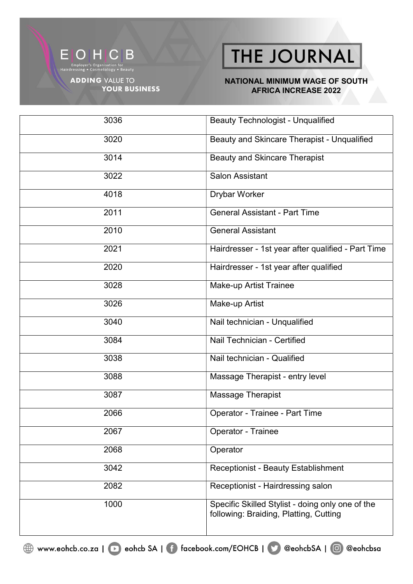

**YOUR BUSINESS** 

THE JOURNAL

#### NATIONAL MINIMUM WAGE OF SOUTH AFRICA INCREASE 2022

| 3036 | <b>Beauty Technologist - Unqualified</b>                                                   |
|------|--------------------------------------------------------------------------------------------|
| 3020 | Beauty and Skincare Therapist - Unqualified                                                |
| 3014 | <b>Beauty and Skincare Therapist</b>                                                       |
| 3022 | <b>Salon Assistant</b>                                                                     |
| 4018 | Drybar Worker                                                                              |
| 2011 | <b>General Assistant - Part Time</b>                                                       |
| 2010 | <b>General Assistant</b>                                                                   |
| 2021 | Hairdresser - 1st year after qualified - Part Time                                         |
| 2020 | Hairdresser - 1st year after qualified                                                     |
| 3028 | <b>Make-up Artist Trainee</b>                                                              |
| 3026 | Make-up Artist                                                                             |
| 3040 | Nail technician - Unqualified                                                              |
| 3084 | Nail Technician - Certified                                                                |
| 3038 | Nail technician - Qualified                                                                |
| 3088 | Massage Therapist - entry level                                                            |
| 3087 | Massage Therapist                                                                          |
| 2066 | Operator - Trainee - Part Time                                                             |
| 2067 | Operator - Trainee                                                                         |
| 2068 | Operator                                                                                   |
| 3042 | <b>Receptionist - Beauty Establishment</b>                                                 |
| 2082 | Receptionist - Hairdressing salon                                                          |
| 1000 | Specific Skilled Stylist - doing only one of the<br>following: Braiding, Platting, Cutting |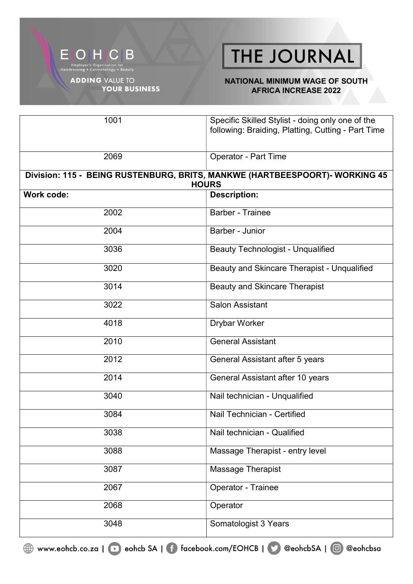

#### NATIONAL MINIMUM WAGE OF SOUTH AFRICA INCREASE 2022

| 1001              | Specific Skilled Stylist - doing only one of the<br>following: Braiding, Platting, Cutting - Part Time |
|-------------------|--------------------------------------------------------------------------------------------------------|
|                   |                                                                                                        |
| 2069              | <b>Operator - Part Time</b>                                                                            |
|                   | Division: 115 - BEING RUSTENBURG, BRITS, MANKWE (HARTBEESPOORT)- WORKING 45<br><b>HOURS</b>            |
| <b>Work code:</b> | <b>Description:</b>                                                                                    |
| 2002              | <b>Barber - Trainee</b>                                                                                |
| 2004              | Barber - Junior                                                                                        |
| 3036              | <b>Beauty Technologist - Unqualified</b>                                                               |
| 3020              | Beauty and Skincare Therapist - Unqualified                                                            |
| 3014              | <b>Beauty and Skincare Therapist</b>                                                                   |
| 3022              | <b>Salon Assistant</b>                                                                                 |
| 4018              | <b>Drybar Worker</b>                                                                                   |
| 2010              | <b>General Assistant</b>                                                                               |
| 2012              | General Assistant after 5 years                                                                        |
| 2014              | General Assistant after 10 years                                                                       |
| 3040              | Nail technician - Unqualified                                                                          |
| 3084              | Nail Technician - Certified                                                                            |
| 3038              | Nail technician - Qualified                                                                            |
| 3088              | Massage Therapist - entry level                                                                        |
| 3087              | Massage Therapist                                                                                      |
| 2067              | Operator - Trainee                                                                                     |
| 2068              | Operator                                                                                               |
| 3048              | Somatologist 3 Years                                                                                   |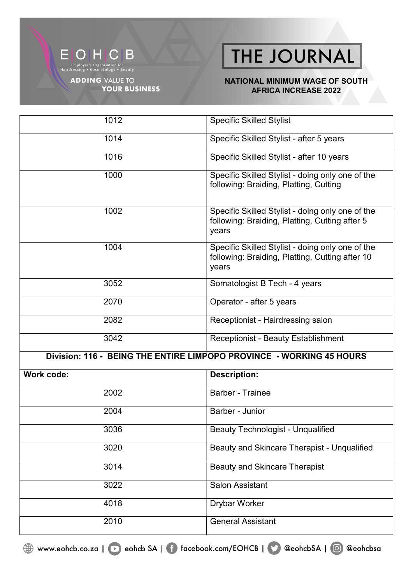

**YOUR BUSINESS** 

THE JOURNAL

#### NATIONAL MINIMUM WAGE OF SOUTH **AFRICA INCREASE 2022**

| 1012                                                                 | <b>Specific Skilled Stylist</b>                                                                              |  |
|----------------------------------------------------------------------|--------------------------------------------------------------------------------------------------------------|--|
| 1014                                                                 | Specific Skilled Stylist - after 5 years                                                                     |  |
| 1016                                                                 | Specific Skilled Stylist - after 10 years                                                                    |  |
| 1000                                                                 | Specific Skilled Stylist - doing only one of the<br>following: Braiding, Platting, Cutting                   |  |
| 1002                                                                 | Specific Skilled Stylist - doing only one of the<br>following: Braiding, Platting, Cutting after 5<br>years  |  |
| 1004                                                                 | Specific Skilled Stylist - doing only one of the<br>following: Braiding, Platting, Cutting after 10<br>years |  |
| 3052                                                                 | Somatologist B Tech - 4 years                                                                                |  |
| 2070                                                                 | Operator - after 5 years                                                                                     |  |
| 2082                                                                 | Receptionist - Hairdressing salon                                                                            |  |
| 3042                                                                 | <b>Receptionist - Beauty Establishment</b>                                                                   |  |
| Division: 116 - BEING THE ENTIRE LIMPOPO PROVINCE - WORKING 45 HOURS |                                                                                                              |  |
| <b>Work code:</b>                                                    | <b>Description:</b>                                                                                          |  |
| 2002                                                                 | <b>Barber - Trainee</b>                                                                                      |  |
| 2004                                                                 | Barber - Junior                                                                                              |  |
| 3036                                                                 | <b>Beauty Technologist - Unqualified</b>                                                                     |  |
| 3020                                                                 | Beauty and Skincare Therapist - Unqualified                                                                  |  |
| 3014                                                                 | <b>Beauty and Skincare Therapist</b>                                                                         |  |
| 3022                                                                 | <b>Salon Assistant</b>                                                                                       |  |
| 4018                                                                 | <b>Drybar Worker</b>                                                                                         |  |
| 2010                                                                 | <b>General Assistant</b>                                                                                     |  |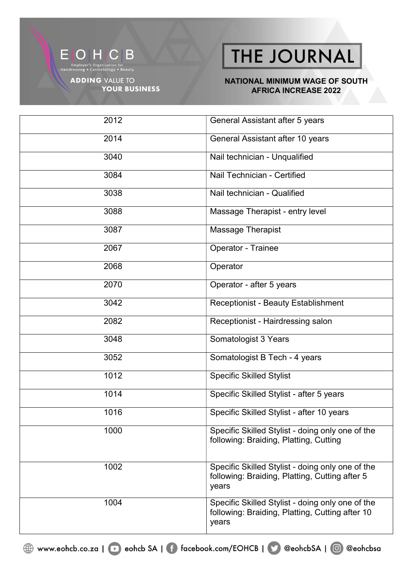

Employer's Organisation for<br>Hairdressing • Cosmetology • Beauty

**ADDING VALUE TO YOUR BUSINESS** 

# THE JOURNAL

#### NATIONAL MINIMUM WAGE OF SOUTH **AFRICA INCREASE 2022**

| 2012 | General Assistant after 5 years                                                                              |
|------|--------------------------------------------------------------------------------------------------------------|
| 2014 | General Assistant after 10 years                                                                             |
| 3040 | Nail technician - Unqualified                                                                                |
| 3084 | Nail Technician - Certified                                                                                  |
| 3038 | Nail technician - Qualified                                                                                  |
| 3088 | Massage Therapist - entry level                                                                              |
| 3087 | Massage Therapist                                                                                            |
| 2067 | Operator - Trainee                                                                                           |
| 2068 | Operator                                                                                                     |
| 2070 | Operator - after 5 years                                                                                     |
| 3042 | Receptionist - Beauty Establishment                                                                          |
| 2082 | Receptionist - Hairdressing salon                                                                            |
| 3048 | Somatologist 3 Years                                                                                         |
| 3052 | Somatologist B Tech - 4 years                                                                                |
| 1012 | <b>Specific Skilled Stylist</b>                                                                              |
| 1014 | Specific Skilled Stylist - after 5 years                                                                     |
| 1016 | Specific Skilled Stylist - after 10 years                                                                    |
| 1000 | Specific Skilled Stylist - doing only one of the<br>following: Braiding, Platting, Cutting                   |
| 1002 | Specific Skilled Stylist - doing only one of the<br>following: Braiding, Platting, Cutting after 5<br>years  |
| 1004 | Specific Skilled Stylist - doing only one of the<br>following: Braiding, Platting, Cutting after 10<br>years |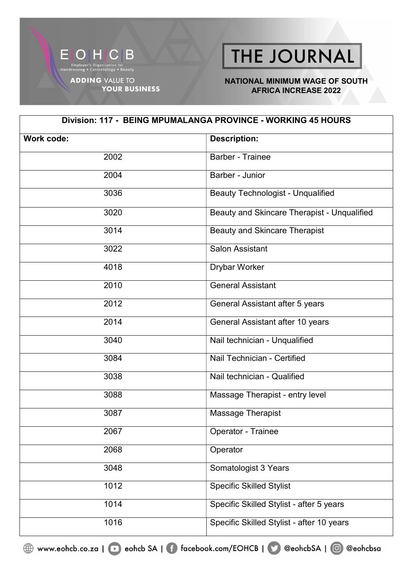

#### NATIONAL MINIMUM WAGE OF SOUTH AFRICA INCREASE 2022

| Division: 117 - BEING MPUMALANGA PROVINCE - WORKING 45 HOURS |                                             |
|--------------------------------------------------------------|---------------------------------------------|
| Work code:                                                   | <b>Description:</b>                         |
| 2002                                                         | Barber - Trainee                            |
| 2004                                                         | Barber - Junior                             |
| 3036                                                         | <b>Beauty Technologist - Unqualified</b>    |
| 3020                                                         | Beauty and Skincare Therapist - Unqualified |
| 3014                                                         | <b>Beauty and Skincare Therapist</b>        |
| 3022                                                         | <b>Salon Assistant</b>                      |
| 4018                                                         | <b>Drybar Worker</b>                        |
| 2010                                                         | <b>General Assistant</b>                    |
| 2012                                                         | General Assistant after 5 years             |
| 2014                                                         | General Assistant after 10 years            |
| 3040                                                         | Nail technician - Unqualified               |
| 3084                                                         | Nail Technician - Certified                 |
| 3038                                                         | Nail technician - Qualified                 |
| 3088                                                         | Massage Therapist - entry level             |
| 3087                                                         | Massage Therapist                           |
| 2067                                                         | Operator - Trainee                          |
| 2068                                                         | Operator                                    |
| 3048                                                         | Somatologist 3 Years                        |
| $\frac{1012}{2}$                                             | <b>Specific Skilled Stylist</b>             |
| 1014                                                         | Specific Skilled Stylist - after 5 years    |
| 1016                                                         | Specific Skilled Stylist - after 10 years   |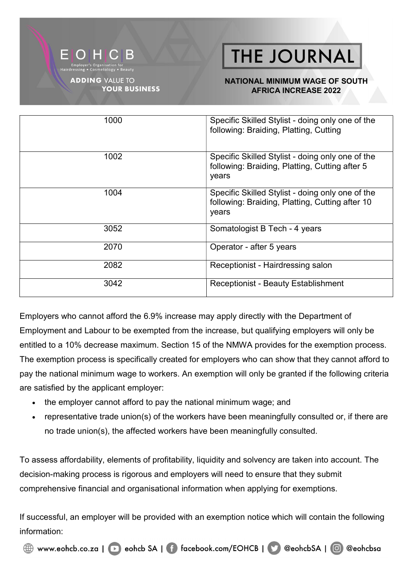

**YOUR BUSINESS** 

# **THE JOURNAL**

#### NATIONAL MINIMUM WAGE OF SOUTH AFRICA INCREASE 2022

| 1000 | Specific Skilled Stylist - doing only one of the<br>following: Braiding, Platting, Cutting                   |
|------|--------------------------------------------------------------------------------------------------------------|
| 1002 | Specific Skilled Stylist - doing only one of the<br>following: Braiding, Platting, Cutting after 5<br>years  |
| 1004 | Specific Skilled Stylist - doing only one of the<br>following: Braiding, Platting, Cutting after 10<br>years |
| 3052 | Somatologist B Tech - 4 years                                                                                |
| 2070 | Operator - after 5 years                                                                                     |
| 2082 | Receptionist - Hairdressing salon                                                                            |
| 3042 | <b>Receptionist - Beauty Establishment</b>                                                                   |

Employers who cannot afford the 6.9% increase may apply directly with the Department of Employment and Labour to be exempted from the increase, but qualifying employers will only be entitled to a 10% decrease maximum. Section 15 of the NMWA provides for the exemption process. The exemption process is specifically created for employers who can show that they cannot afford to pay the national minimum wage to workers. An exemption will only be granted if the following criteria are satisfied by the applicant employer:

- the employer cannot afford to pay the national minimum wage; and
- representative trade union(s) of the workers have been meaningfully consulted or, if there are no trade union(s), the affected workers have been meaningfully consulted.

To assess affordability, elements of profitability, liquidity and solvency are taken into account. The decision-making process is rigorous and employers will need to ensure that they submit comprehensive financial and organisational information when applying for exemptions.

If successful, an employer will be provided with an exemption notice which will contain the following information: